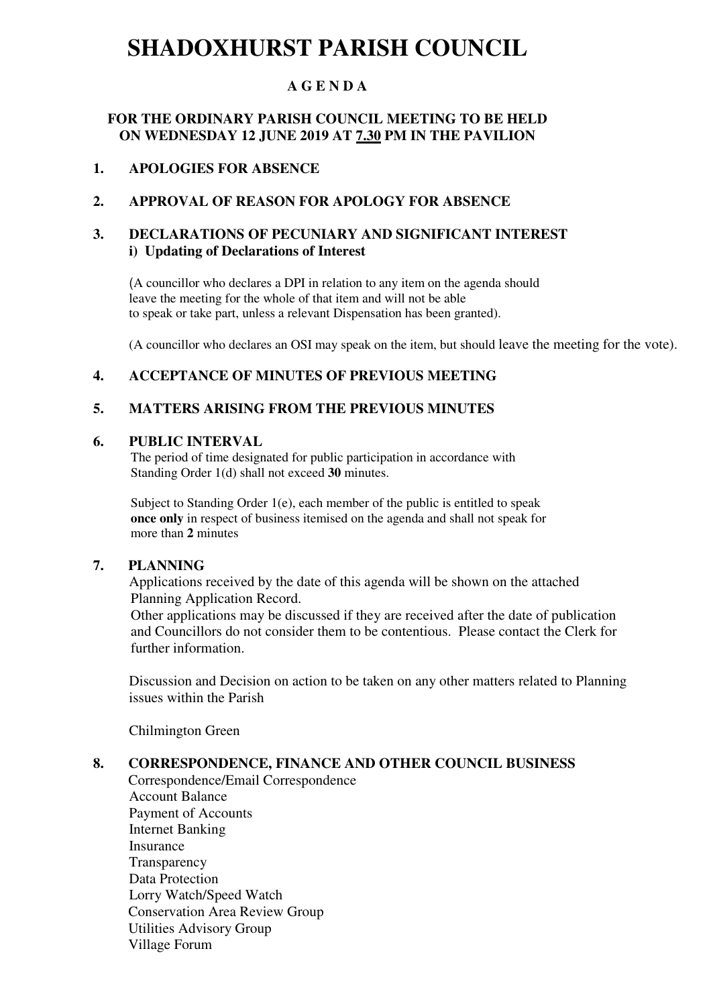## **SHADOXHURST PARISH COUNCIL**

#### **A G E N D A**

#### **FOR THE ORDINARY PARISH COUNCIL MEETING TO BE HELD ON WEDNESDAY 12 JUNE 2019 AT 7.30 PM IN THE PAVILION**

#### **1. APOLOGIES FOR ABSENCE**

#### **2. APPROVAL OF REASON FOR APOLOGY FOR ABSENCE**

#### **3. DECLARATIONS OF PECUNIARY AND SIGNIFICANT INTEREST i) Updating of Declarations of Interest**

(A councillor who declares a DPI in relation to any item on the agenda should leave the meeting for the whole of that item and will not be able to speak or take part, unless a relevant Dispensation has been granted).

(A councillor who declares an OSI may speak on the item, but should leave the meeting for the vote).

#### **4. ACCEPTANCE OF MINUTES OF PREVIOUS MEETING**

#### **5. MATTERS ARISING FROM THE PREVIOUS MINUTES**

#### **6. PUBLIC INTERVAL**

 The period of time designated for public participation in accordance with Standing Order 1(d) shall not exceed **30** minutes.

Subject to Standing Order 1(e), each member of the public is entitled to speak  **once only** in respect of business itemised on the agenda and shall not speak for more than **2** minutes

#### **7. PLANNING**

Applications received by the date of this agenda will be shown on the attached Planning Application Record.

 Other applications may be discussed if they are received after the date of publication and Councillors do not consider them to be contentious. Please contact the Clerk for further information.

Discussion and Decision on action to be taken on any other matters related to Planning issues within the Parish

Chilmington Green

#### **8. CORRESPONDENCE, FINANCE AND OTHER COUNCIL BUSINESS**

Correspondence/Email Correspondence Account Balance Payment of Accounts Internet Banking Insurance **Transparency**  Data Protection Lorry Watch/Speed Watch Conservation Area Review Group Utilities Advisory Group Village Forum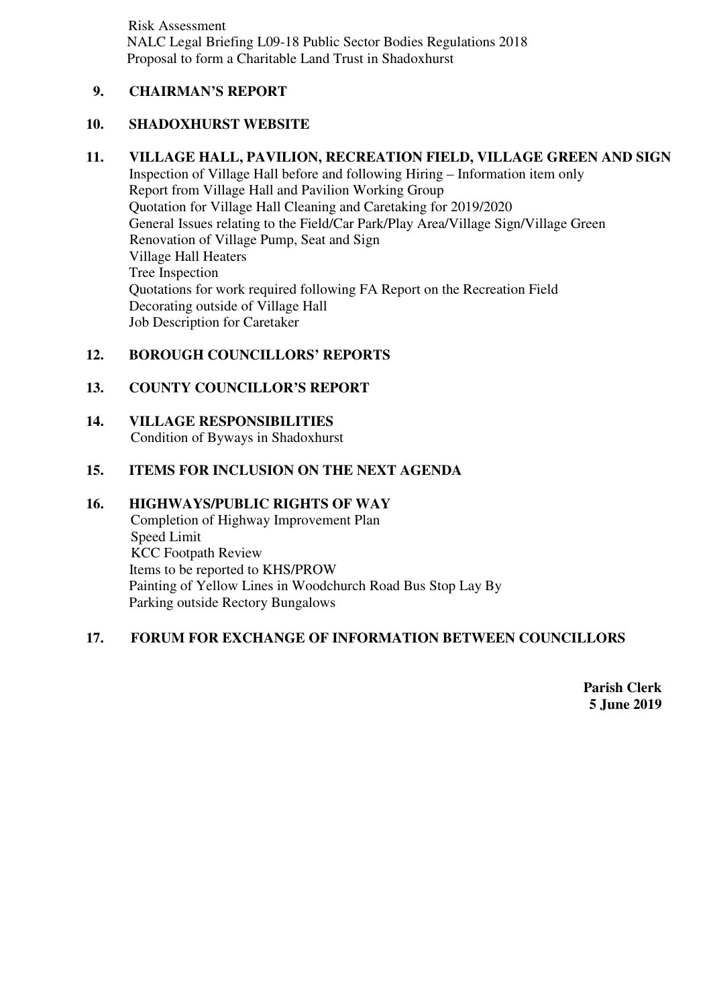Risk Assessment NALC Legal Briefing L09-18 Public Sector Bodies Regulations 2018 Proposal to form a Charitable Land Trust in Shadoxhurst

#### **9. CHAIRMAN'S REPORT**

#### **10. SHADOXHURST WEBSITE**

#### **11. VILLAGE HALL, PAVILION, RECREATION FIELD, VILLAGE GREEN AND SIGN**

Inspection of Village Hall before and following Hiring – Information item only Report from Village Hall and Pavilion Working Group Quotation for Village Hall Cleaning and Caretaking for 2019/2020 General Issues relating to the Field/Car Park/Play Area/Village Sign/Village Green Renovation of Village Pump, Seat and Sign Village Hall Heaters Tree Inspection Quotations for work required following FA Report on the Recreation Field Decorating outside of Village Hall Job Description for Caretaker

#### **12. BOROUGH COUNCILLORS' REPORTS**

#### **13. COUNTY COUNCILLOR'S REPORT**

**14. VILLAGE RESPONSIBILITIES**  Condition of Byways in Shadoxhurst

#### **15. ITEMS FOR INCLUSION ON THE NEXT AGENDA**

#### **16. HIGHWAYS/PUBLIC RIGHTS OF WAY**

Completion of Highway Improvement Plan Speed Limit KCC Footpath Review Items to be reported to KHS/PROW Painting of Yellow Lines in Woodchurch Road Bus Stop Lay By Parking outside Rectory Bungalows

#### **17. FORUM FOR EXCHANGE OF INFORMATION BETWEEN COUNCILLORS**

**Parish Clerk 5 June 2019**